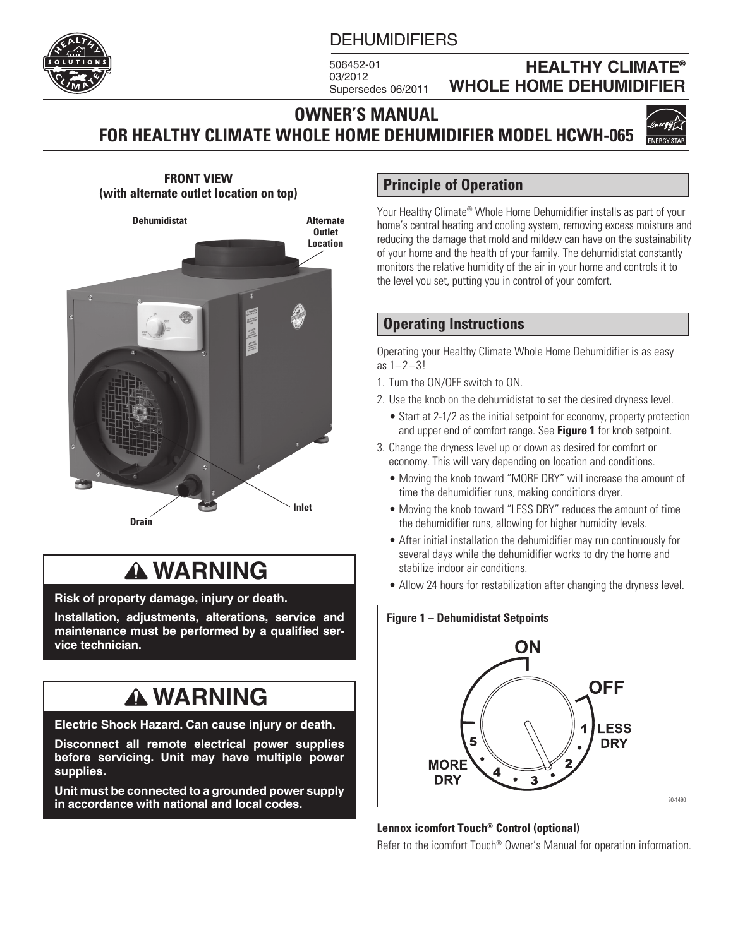#### **DEHUMIDIFIERS**

506452-01 03/2012 Supersedes 06/2011

### **HEALTHY CLIMATE® WHOLE HOME DEHUMIDIFIER**

### **OWNER'S MANUAL FOR HEALTHY CLIMATE WHOLE HOME DEHUMIDIFIER MODEL HCWH-065**



**FRONT VIEW (with alternate outlet location on top)**



# **WARNING**

**Risk of property damage, injury or death.**

**Installation, adjustments, alterations, service and maintenance must be performed by a qualified service technician.**

# **WARNING**

**Electric Shock Hazard. Can cause injury or death.**

**Disconnect all remote electrical power supplies before servicing. Unit may have multiple power supplies.**

**Unit must be connected to a grounded power supply in accordance with national and local codes.**

### **Principle of Operation**

Your Healthy Climate® Whole Home Dehumidifier installs as part of your home's central heating and cooling system, removing excess moisture and reducing the damage that mold and mildew can have on the sustainability of your home and the health of your family. The dehumidistat constantly monitors the relative humidity of the air in your home and controls it to the level you set, putting you in control of your comfort.

### **Operating Instructions**

Operating your Healthy Climate Whole Home Dehumidifier is as easy as 1–2–3!

- 1. Turn the ON/OFF switch to ON.
- 2. Use the knob on the dehumidistat to set the desired dryness level.
	- Start at 2-1/2 as the initial setpoint for economy, property protection and upper end of comfort range. See **Figure 1** for knob setpoint.
- 3. Change the dryness level up or down as desired for comfort or economy. This will vary depending on location and conditions.
	- Moving the knob toward "MORE DRY" will increase the amount of time the dehumidifier runs, making conditions dryer.
	- Moving the knob toward "LESS DRY" reduces the amount of time the dehumidifier runs, allowing for higher humidity levels.
	- After initial installation the dehumidifier may run continuously for several days while the dehumidifier works to dry the home and stabilize indoor air conditions.
	- Allow 24 hours for restabilization after changing the dryness level.



#### **Lennox icomfort Touch® Control (optional)**

Refer to the icomfort Touch® Owner's Manual for operation information.